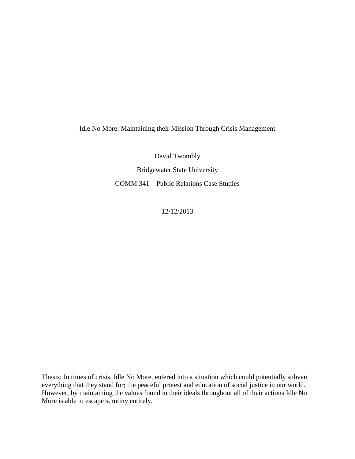Idle No More: Maintaining their Mission Through Crisis Management

David Twombly

Bridgewater State University COMM 341 – Public Relations Case Studies

12/12/2013

Thesis: In times of crisis, Idle No More, entered into a situation which could potentially subvert everything that they stand for; the peaceful protest and education of social justice in our world. However, by maintaining the values found in their ideals throughout all of their actions Idle No More is able to escape scrutiny entirely.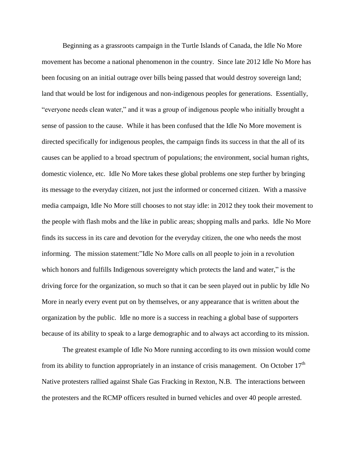Beginning as a grassroots campaign in the Turtle Islands of Canada, the Idle No More movement has become a national phenomenon in the country. Since late 2012 Idle No More has been focusing on an initial outrage over bills being passed that would destroy sovereign land; land that would be lost for indigenous and non-indigenous peoples for generations. Essentially, "everyone needs clean water," and it was a group of indigenous people who initially brought a sense of passion to the cause. While it has been confused that the Idle No More movement is directed specifically for indigenous peoples, the campaign finds its success in that the all of its causes can be applied to a broad spectrum of populations; the environment, social human rights, domestic violence, etc. Idle No More takes these global problems one step further by bringing its message to the everyday citizen, not just the informed or concerned citizen. With a massive media campaign, Idle No More still chooses to not stay idle: in 2012 they took their movement to the people with flash mobs and the like in public areas; shopping malls and parks. Idle No More finds its success in its care and devotion for the everyday citizen, the one who needs the most informing. The mission statement:"Idle No More calls on all people to join in a revolution which honors and fulfills Indigenous sovereignty which protects the land and water," is the driving force for the organization, so much so that it can be seen played out in public by Idle No More in nearly every event put on by themselves, or any appearance that is written about the organization by the public. Idle no more is a success in reaching a global base of supporters because of its ability to speak to a large demographic and to always act according to its mission.

The greatest example of Idle No More running according to its own mission would come from its ability to function appropriately in an instance of crisis management. On October  $17<sup>th</sup>$ Native protesters rallied against Shale Gas Fracking in Rexton, N.B. The interactions between the protesters and the RCMP officers resulted in burned vehicles and over 40 people arrested.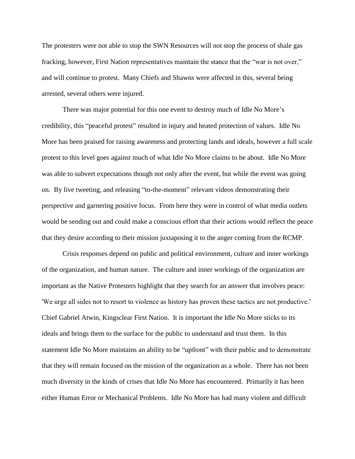The protesters were not able to stop the SWN Resources will not stop the process of shale gas fracking, however, First Nation representatives maintain the stance that the "war is not over," and will continue to protest. Many Chiefs and Shawns were affected in this, several being arrested, several others were injured.

There was major potential for this one event to destroy much of Idle No More's credibility, this "peaceful protest" resulted in injury and heated protection of values. Idle No More has been praised for raising awareness and protecting lands and ideals, however a full scale protest to this level goes against much of what Idle No More claims to be about. Idle No More was able to subvert expectations though not only after the event, but while the event was going on. By live tweeting, and releasing "to-the-moment" relevant videos demonstrating their perspective and garnering positive focus. From here they were in control of what media outlets would be sending out and could make a conscious effort that their actions would reflect the peace that they desire according to their mission juxtaposing it to the anger coming from the RCMP.

Crisis responses depend on public and political environment, culture and inner workings of the organization, and human nature. The culture and inner workings of the organization are important as the Native Protesters highlight that they search for an answer that involves peace: 'We urge all sides not to resort to violence as history has proven these tactics are not productive.' Chief Gabriel Atwin, Kingsclear First Nation. It is important the Idle No More sticks to its ideals and brings them to the surface for the public to understand and trust them. In this statement Idle No More maintains an ability to be "upfront" with their public and to demonstrate that they will remain focused on the mission of the organization as a whole. There has not been much diversity in the kinds of crises that Idle No More has encountered. Primarily it has been either Human Error or Mechanical Problems. Idle No More has had many violent and difficult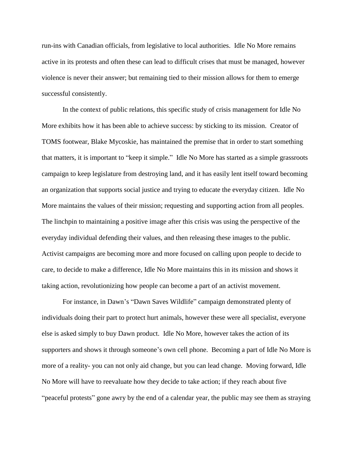run-ins with Canadian officials, from legislative to local authorities. Idle No More remains active in its protests and often these can lead to difficult crises that must be managed, however violence is never their answer; but remaining tied to their mission allows for them to emerge successful consistently.

In the context of public relations, this specific study of crisis management for Idle No More exhibits how it has been able to achieve success: by sticking to its mission. Creator of TOMS footwear, Blake Mycoskie, has maintained the premise that in order to start something that matters, it is important to "keep it simple." Idle No More has started as a simple grassroots campaign to keep legislature from destroying land, and it has easily lent itself toward becoming an organization that supports social justice and trying to educate the everyday citizen. Idle No More maintains the values of their mission; requesting and supporting action from all peoples. The linchpin to maintaining a positive image after this crisis was using the perspective of the everyday individual defending their values, and then releasing these images to the public. Activist campaigns are becoming more and more focused on calling upon people to decide to care, to decide to make a difference, Idle No More maintains this in its mission and shows it taking action, revolutionizing how people can become a part of an activist movement.

For instance, in Dawn's "Dawn Saves Wildlife" campaign demonstrated plenty of individuals doing their part to protect hurt animals, however these were all specialist, everyone else is asked simply to buy Dawn product. Idle No More, however takes the action of its supporters and shows it through someone's own cell phone. Becoming a part of Idle No More is more of a reality- you can not only aid change, but you can lead change. Moving forward, Idle No More will have to reevaluate how they decide to take action; if they reach about five "peaceful protests" gone awry by the end of a calendar year, the public may see them as straying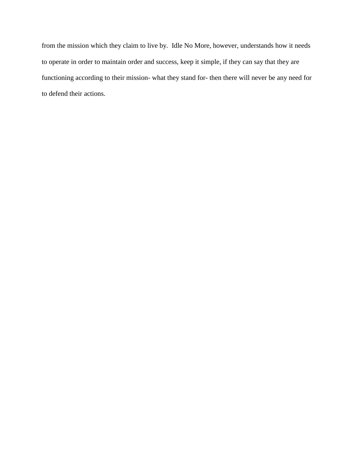from the mission which they claim to live by. Idle No More, however, understands how it needs to operate in order to maintain order and success, keep it simple, if they can say that they are functioning according to their mission- what they stand for- then there will never be any need for to defend their actions.